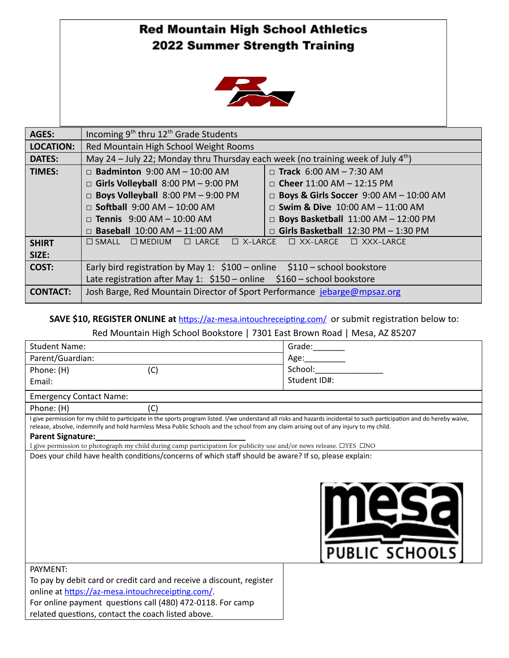## **Red Mountain High School Athletics** 2022 Summer Strength Training



| <b>AGES:</b>     | Incoming $9th$ thru 12 <sup>th</sup> Grade Students                                                    |                                               |
|------------------|--------------------------------------------------------------------------------------------------------|-----------------------------------------------|
| <b>LOCATION:</b> | Red Mountain High School Weight Rooms                                                                  |                                               |
| <b>DATES:</b>    | May 24 – July 22; Monday thru Thursday each week (no training week of July 4 <sup>th</sup> )           |                                               |
| <b>TIMES:</b>    | $\Box$ Badminton 9:00 AM - 10:00 AM                                                                    | $\Box$ Track 6:00 AM – 7:30 AM                |
|                  | $\Box$ Girls Volleyball 8:00 PM - 9:00 PM                                                              | $\Box$ Cheer 11:00 AM - 12:15 PM              |
|                  | $\Box$ Boys Volleyball 8:00 PM - 9:00 PM                                                               | $\Box$ Boys & Girls Soccer 9:00 AM - 10:00 AM |
|                  | $\Box$ Softball 9:00 AM - 10:00 AM                                                                     | $\Box$ Swim & Dive 10:00 AM - 11:00 AM        |
|                  | □ Tennis 9:00 AM $-$ 10:00 AM                                                                          | $\Box$ Boys Basketball 11:00 AM - 12:00 PM    |
|                  | $\Box$ Baseball 10:00 AM - 11:00 AM                                                                    | $\Box$ Girls Basketball 12:30 PM - 1:30 PM    |
| <b>SHIRT</b>     | $\Box$ X-LARGE<br>$\Box$ MEDIUM<br>$\Box$ LARGE<br>$\Box$ XX-LARGE $\Box$ XXX-LARGE<br>$\square$ SMALL |                                               |
| SIZE:            |                                                                                                        |                                               |
| COST:            | Early bird registration by May 1: $$100$ – online $$110$ – school bookstore                            |                                               |
|                  | Late registration after May 1: $$150$ – online $$160$ – school bookstore                               |                                               |
| <b>CONTACT:</b>  | Josh Barge, Red Mountain Director of Sport Performance jebarge@mpsaz.org                               |                                               |

**SAVE \$10, REGISTER ONLINE at https://az-mesa.intouchreceipting.com/ or submit registration below to:** 

## Red Mountain High School Bookstore | 7301 East Brown Road | Mesa, AZ 85207

| <b>Student Name:</b>                                                                                                                                                                                                                                                                                                                                                                                                                                                            | Grade:                |  |  |
|---------------------------------------------------------------------------------------------------------------------------------------------------------------------------------------------------------------------------------------------------------------------------------------------------------------------------------------------------------------------------------------------------------------------------------------------------------------------------------|-----------------------|--|--|
| Parent/Guardian:                                                                                                                                                                                                                                                                                                                                                                                                                                                                | Age:______            |  |  |
| (C)<br>Phone: (H)                                                                                                                                                                                                                                                                                                                                                                                                                                                               | School:               |  |  |
| Email:                                                                                                                                                                                                                                                                                                                                                                                                                                                                          | Student ID#:          |  |  |
| <b>Emergency Contact Name:</b>                                                                                                                                                                                                                                                                                                                                                                                                                                                  |                       |  |  |
| Phone: (H)<br>(C)                                                                                                                                                                                                                                                                                                                                                                                                                                                               |                       |  |  |
| I give permission for my child to participate in the sports program listed. I/we understand all risks and hazards incidental to such participation and do hereby waive,<br>release, absolve, indemnify and hold harmless Mesa Public Schools and the school from any claim arising out of any injury to my child.<br><b>Parent Signature:</b><br>I give permission to photograph my child during camp participation for publicity use and/or news release. $\Box$ YES $\Box$ NO |                       |  |  |
| Does your child have health conditions/concerns of which staff should be aware? If so, please explain:<br>PAYMENT:                                                                                                                                                                                                                                                                                                                                                              | <b>PUBLIC SCHOOLS</b> |  |  |
| To pay by debit card or credit card and receive a discount, register                                                                                                                                                                                                                                                                                                                                                                                                            |                       |  |  |
| online at https://az-mesa.intouchreceipting.com/.                                                                                                                                                                                                                                                                                                                                                                                                                               |                       |  |  |
| For online payment questions call (480) 472-0118. For camp                                                                                                                                                                                                                                                                                                                                                                                                                      |                       |  |  |
| related questions, contact the coach listed above.                                                                                                                                                                                                                                                                                                                                                                                                                              |                       |  |  |